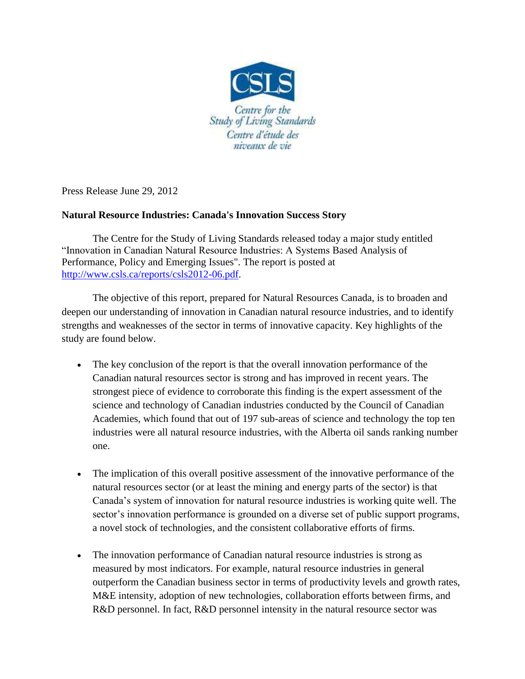

Press Release June 29, 2012

## **Natural Resource Industries: Canada's Innovation Success Story**

The Centre for the Study of Living Standards released today a major study entitled "Innovation in Canadian Natural Resource Industries: A Systems Based Analysis of Performance, Policy and Emerging Issues". The report is posted at [http://www.csls.ca/reports/csls2012-06.pdf.](http://www.csls.ca/reports/csls2012-06.pdf)

The objective of this report, prepared for Natural Resources Canada, is to broaden and deepen our understanding of innovation in Canadian natural resource industries, and to identify strengths and weaknesses of the sector in terms of innovative capacity. Key highlights of the study are found below.

- The key conclusion of the report is that the overall innovation performance of the Canadian natural resources sector is strong and has improved in recent years. The strongest piece of evidence to corroborate this finding is the expert assessment of the science and technology of Canadian industries conducted by the Council of Canadian Academies, which found that out of 197 sub-areas of science and technology the top ten industries were all natural resource industries, with the Alberta oil sands ranking number one.
- The implication of this overall positive assessment of the innovative performance of the natural resources sector (or at least the mining and energy parts of the sector) is that Canada's system of innovation for natural resource industries is working quite well. The sector's innovation performance is grounded on a diverse set of public support programs, a novel stock of technologies, and the consistent collaborative efforts of firms.
- The innovation performance of Canadian natural resource industries is strong as measured by most indicators. For example, natural resource industries in general outperform the Canadian business sector in terms of productivity levels and growth rates, M&E intensity, adoption of new technologies, collaboration efforts between firms, and R&D personnel. In fact, R&D personnel intensity in the natural resource sector was